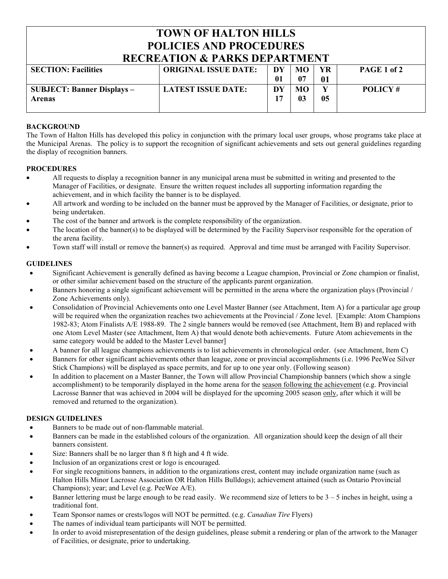## **TOWN OF HALTON HILLS POLICIES AND PROCEDURES RECREATION & PARKS DEPARTMENT**

| <u>Keckean ivo what we had the annual</u> |                             |              |    |    |                |  |
|-------------------------------------------|-----------------------------|--------------|----|----|----------------|--|
| <b>SECTION: Facilities</b>                | <b>ORIGINAL ISSUE DATE:</b> | DY           | MО | YR | PAGE 1 of 2    |  |
|                                           |                             | $\mathbf{0}$ | 07 | 01 |                |  |
| <b>SUBJECT: Banner Displays –</b>         | <b>LATEST ISSUE DATE:</b>   | DY           | MО |    | <b>POLICY#</b> |  |
| <b>Arenas</b>                             |                             |              | 03 | 05 |                |  |
|                                           |                             |              |    |    |                |  |

## **BACKGROUND**

The Town of Halton Hills has developed this policy in conjunction with the primary local user groups, whose programs take place at the Municipal Arenas. The policy is to support the recognition of significant achievements and sets out general guidelines regarding the display of recognition banners.

## **PROCEDURES**

- All requests to display a recognition banner in any municipal arena must be submitted in writing and presented to the Manager of Facilities, or designate. Ensure the written request includes all supporting information regarding the achievement, and in which facility the banner is to be displayed.
- All artwork and wording to be included on the banner must be approved by the Manager of Facilities, or designate, prior to being undertaken.
- The cost of the banner and artwork is the complete responsibility of the organization.
- The location of the banner(s) to be displayed will be determined by the Facility Supervisor responsible for the operation of the arena facility.
- Town staff will install or remove the banner(s) as required. Approval and time must be arranged with Facility Supervisor.

#### **GUIDELINES**

- Significant Achievement is generally defined as having become a League champion, Provincial or Zone champion or finalist, or other similar achievement based on the structure of the applicants parent organization.
- Banners honoring a single significant achievement will be permitted in the arena where the organization plays (Provincial / Zone Achievements only).
- Consolidation of Provincial Achievements onto one Level Master Banner (see Attachment, Item A) for a particular age group will be required when the organization reaches two achievements at the Provincial / Zone level. [Example: Atom Champions 1982-83; Atom Finalists A/E 1988-89. The 2 single banners would be removed (see Attachment, Item B) and replaced with one Atom Level Master (see Attachment, Item A) that would denote both achievements. Future Atom achievements in the same category would be added to the Master Level banner]
- A banner for all league champions achievements is to list achievements in chronological order. (see Attachment, Item C)
- Banners for other significant achievements other than league, zone or provincial accomplishments (i.e. 1996 PeeWee Silver Stick Champions) will be displayed as space permits, and for up to one year only. (Following season)
- In addition to placement on a Master Banner, the Town will allow Provincial Championship banners (which show a single accomplishment) to be temporarily displayed in the home arena for the season following the achievement (e.g. Provincial Lacrosse Banner that was achieved in 2004 will be displayed for the upcoming 2005 season only, after which it will be removed and returned to the organization).

## **DESIGN GUIDELINES**

- Banners to be made out of non-flammable material.
- Banners can be made in the established colours of the organization. All organization should keep the design of all their banners consistent.
- Size: Banners shall be no larger than 8 ft high and 4 ft wide.
- Inclusion of an organizations crest or logo is encouraged.
- For single recognitions banners, in addition to the organizations crest, content may include organization name (such as Halton Hills Minor Lacrosse Association OR Halton Hills Bulldogs); achievement attained (such as Ontario Provincial Champions); year; and Level (e.g. PeeWee A/E).
- Banner lettering must be large enough to be read easily. We recommend size of letters to be  $3 5$  inches in height, using a traditional font.
- Team Sponsor names or crests/logos will NOT be permitted. (e.g. *Canadian Tire* Flyers)
- The names of individual team participants will NOT be permitted.
- In order to avoid misrepresentation of the design guidelines, please submit a rendering or plan of the artwork to the Manager of Facilities, or designate, prior to undertaking.